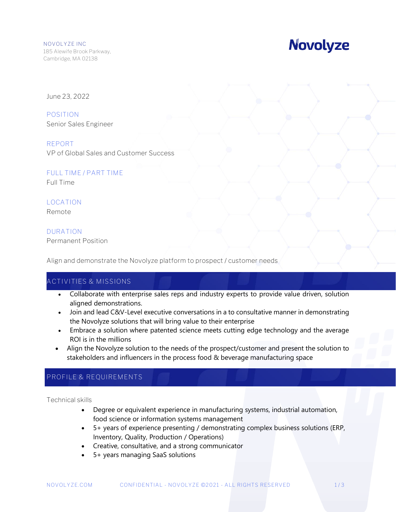# **Novolyze**

June 23, 2022

**POSITION** Senior Sales Engineer

**REPORT** VP of Global Sales and Customer Success

**FULL TIME / PART TIME**

Full Time

# **LOCATION**

Remote

### **DURATION**

Permanent Position

Align and demonstrate the Novolyze platform to prospect / customer needs

## **ACTIVITIES & MISSIONS**

- Collaborate with enterprise sales reps and industry experts to provide value driven, solution aligned demonstrations.
- Join and lead C&V-Level executive conversations in a to consultative manner in demonstrating the Novolyze solutions that will bring value to their enterprise
- Embrace a solution where patented science meets cutting edge technology and the average ROI is in the millions
- Align the Novolyze solution to the needs of the prospect/customer and present the solution to stakeholders and influencers in the process food & beverage manufacturing space

# **PROFILE & REQUIREMENTS**

Technical skills

- Degree or equivalent experience in manufacturing systems, industrial automation, food science or information systems management
- 5+ years of experience presenting / demonstrating complex business solutions (ERP, Inventory, Quality, Production / Operations)
- Creative, consultative, and a strong communicator
- 5+ years managing SaaS solutions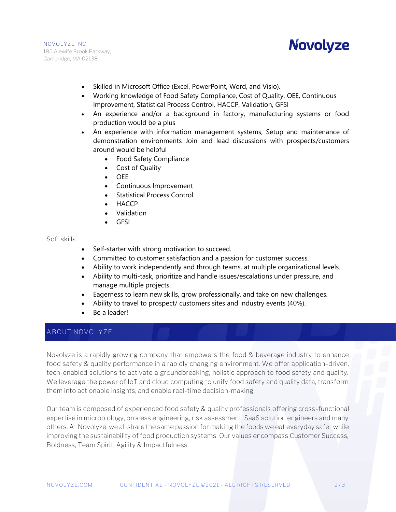NOVOLYZE INC 185 Alewife Brook Parkway, Cambridge, MA 02138



- Skilled in Microsoft Office (Excel, PowerPoint, Word, and Visio).
- Working knowledge of Food Safety Compliance, Cost of Quality, OEE, Continuous Improvement, Statistical Process Control, HACCP, Validation, GFSI
- An experience and/or a background in factory, manufacturing systems or food production would be a plus
- An experience with information management systems, Setup and maintenance of demonstration environments Join and lead discussions with prospects/customers around would be helpful
	- Food Safety Compliance
	- Cost of Quality
	- OEE
	- Continuous Improvement
	- **Statistical Process Control**
	- HACCP
	- Validation
	- GFSI

#### Soft skills

- Self-starter with strong motivation to succeed.
- Committed to customer satisfaction and a passion for customer success.
- Ability to work independently and through teams, at multiple organizational levels.
- Ability to multi-task, prioritize and handle issues/escalations under pressure, and manage multiple projects.
- Eagerness to learn new skills, grow professionally, and take on new challenges.
- Ability to travel to prospect/ customers sites and industry events (40%).
- Be a leader!

#### **ABOUT NOVOLYZE**

Novolyze is a rapidly growing company that empowers the food & beverage industry to enhance food safety & quality performance in a rapidly changing environment. We offer application-driven, tech-enabled solutions to activate a groundbreaking, holistic approach to food safety and quality. We leverage the power of IoT and cloud computing to unify food safety and quality data, transform them into actionable insights, and enable real-time decision-making.

Our team is composed of experienced food safety & quality professionals offering cross-functional expertise in microbiology, process engineering, risk assessment, SaaS solution engineers and many others. At Novolyze, we all share the same passion for making the foods we eat everyday safer while improving the sustainability of food production systems. Our values encompass Customer Success, Boldness, Team Spirit, Agility & Impactfulness.